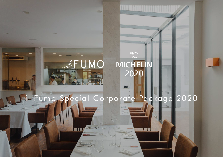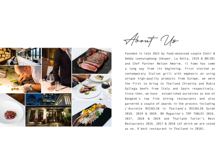

About Us

Founded in late 2015 by food-obsessed couple Choti & Debby Leenutaphong (Vesper, La Dotta, 1919 & 80/20) and Chef Partner Nelson Amorim, il Fumo has come a long way from its beginning. First started as contemporary Italian grill with emphasis on using unique high-quality products from Europe, we were the first to bring to Thailand Chianina and Rubia Gallega beefs from Italy and Spain respectively. Since then, we have established ourselves as one of Bangkok's top fine dining restaurants and also garnered a couple of awards in the process including L'Assiette MICHELIN in Thailand's MICHELIN Guide 2018, 2019 & 2020, BK Magazine's TOP TABLES 2016, 2017, 2018 & 2019 and Thailand Tatler's Best Restaurants 2016, 2017 & 2018 (of which we are voted as no. 9 best restaurant in Thailand in 2018).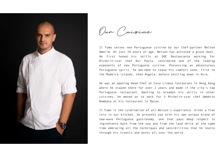

Our Cuisine

Il Fumo serves new Portuguese cuisine by our Chef-partner Nelson Amorim. At just 29 years of age, Nelson has achieved a great deal. He first honed his skills at DOC Restaurante working for Michelin-star chef Rui Paula, considered one of the leading exponents of new Portuguese cuisine. Possessing an adventurous Portuguese spirit, he decided to leave his comfort zone, first to the Madeira islands, then Angola, before settling down in Asia.

He was an opening Head Chef at Casa Lisboa restaurant in Hong Kong where he stayed there for over 2 years and made it the city's top Portuguese restaurant. Wanting to broaden his skills in other cuisines, he moved on to work for 3 Michelin-star chef Umberto Bombana at his restaurant in Macau.

Il Fumo is the culmination of all Nelson's experience. Given a free rein in our kitchen, he presents you with his own unique brand of new-wave Portuguese gastronomy, one that pays deep respect to ingredients both from the sea and from the land while at the same time embracing all the techniques and sensibilities that he learns through his travels and works all over the world.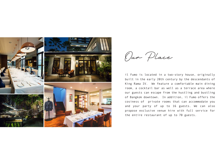

Our Place

il Fumo is located in a two-story house, originally built in the early 20th century by the descendants of King Rama IV. We feature a comfortable main dining room, a cocktail bar as well as a terrace area where our guests can escape from the hustling and bustling of Bangkok downtown. In addition, il Fumo offers the cosiness of private rooms that can accommodate you and your party of up to 16 guests. We can also propose exclusive venue hire with full service for the entire restaurant of up to 70 guests.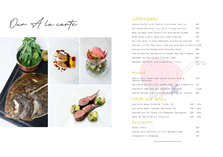Our A la carte



#### APPETIZERS

| Seafood Ravioli with Plankton & Coriander Emulsion                | 690                  |
|-------------------------------------------------------------------|----------------------|
| Pan-seared Foie Gras, Figs Jus & 'Trouxas de Ovos'                | 990                  |
| Hand-cut Wagyu Beef Tartare with Bone Marrow Caramel              | 990                  |
| Mixed Herbs & Leafs Salad with Lemon Dressing                     | 390                  |
| Cod Fish Salad, Pickled Vegetables & Anchovies Dressing           | 790                  |
| Charcoal-grilled Jumbo River Prawn with Crab Meat & Saffron 1,290 |                      |
| Charcoal-grilled Octopus with Pistachio Purée                     | 880                  |
| Ibérico Shoulder Ham Bellota 24-months Juan Pedro Domecq          | 990                  |
| Handmade Tagliatelle with Crab Meat Ragù                          | 690                  |
| Handmade Tagliolini with Autumn Black Truffle                     | 190 / g<br>(min 7 q) |

### MAINS

| Ibérico Pork 'Pluma' with Spiced Carrots Purée &<br>Seasonal Mushrooms | 990   |
|------------------------------------------------------------------------|-------|
| Pan-seared Sea bass with 'Bulhão Pato' Sauce & Guanciale 790           |       |
| Australian Lamb Rack with Jerusalem Artichokes                         | 1.290 |
| Roasted Halibut with Sun-dried Tomatoes Barley 'Risotto'               | 890   |

# FROM OUR GRILL

| Australian Wagyu Striploin 'Tajima' M5             |            | 490 / 100g |
|----------------------------------------------------|------------|------------|
| Australian Wagyu Tomahawk 'Westholme' M5           |            | 490 / 100g |
| Charcoal-grilled Turbot with Champagne Vinaigrette | 220 / 100g |            |
| Rubia Gallega Prime Rib 'Discarlux'                |            | 690 / 100g |

#### DESSERTS

| Orange 'Story'                                 | 390 |
|------------------------------------------------|-----|
| Guanaja Dark Chocolate Tart with Whipped Cream | 390 |
| Strawberries & Champagne                       | 390 |

\* All prices are subject to government and service charge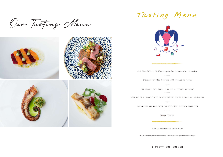Our Tasting Menu



## Tasting Menu



#### Cod Fish Salad, Pickled Vegetables & Anchovies Dressing

 $\mathcal{C}(\mathbf{w},\mathbf{w},\mathbf{w},\mathbf{w},\mathbf{w})$ 

Charcoal-grilled Octopus with Pistachio Purée

 $-0r-$ 

Pan-seared Foie Gras, Figs Jus & 'Troxas de Ovos' **Contractor** 

Ibérico Pork 'Pluma' with Spiced Carrots Purée & Seasonal Mushrooms

 $-0r-$ 

Pan-seared Sea bass with 'Bulhão Pato' Sauce & Guanciale

 $1.1.1.1$ 

Orange 'Story'

1,900 THB Additional 1,200 for wine pairing

\* All prices are subject to government and service charge \* Please kindly inform us if you have any your food allergies.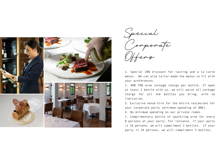

Special Corporate Offers

1. Special 20% discount for tasting and a la carte menus. We can also tailor-made the menus to fit with your preferences.

2. 400 THB wine corkage charge per bottle. If open at least 1 bottle with us, we will waive all corkage charge for all the bottles you bring, with no limitation.

3. Exclusive venue hire for the entire restaurant for your corporate party (minimum spending of 80k).

4. No minimum spending on our private rooms.

5. Complimentary bottle of sparkling wine for every 8 persons at your party. For instance, if your party is 16 persons, we will compliment 2 bottles. If your party is 24 persons, we will compliment 3 bottles.